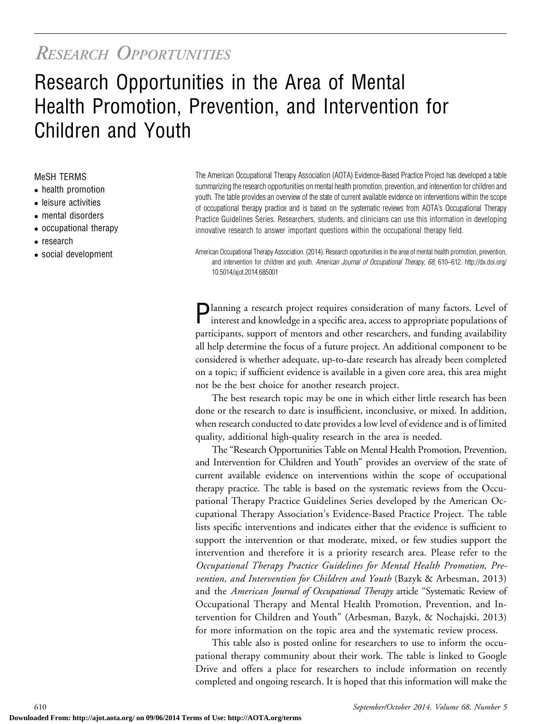# RESEARCH OPPORTUNITIES

# Research Opportunities in the Area of Mental Health Promotion, Prevention, and Intervention for Children and Youth

#### MeSH TERMS

- health promotion
- leisure activities
- mental disorders
- occupational therapy
- research
- social development

The American Occupational Therapy Association (AOTA) Evidence-Based Practice Project has developed a table summarizing the research opportunities on mental health promotion, prevention, and intervention for children and youth. The table provides an overview of the state of current available evidence on interventions within the scope of occupational therapy practice and is based on the systematic reviews from AOTA's Occupational Therapy Practice Guidelines Series. Researchers, students, and clinicians can use this information in developing innovative research to answer important questions within the occupational therapy field.

American Occupational Therapy Association. (2014). Research opportunities in the area of mental health promotion, prevention, and intervention for children and youth. American Journal of Occupational Therapy, 68, 610–612. http://dx.doi.org/ 10.5014/ajot.2014.685001

**Planning a research project requires consideration of many factors.** Level of interest and knowledge in a specific area, access to appropriate populations of participants, support of mentors and other researchers, and funding availability all help determine the focus of a future project. An additional component to be considered is whether adequate, up-to-date research has already been completed on a topic; if sufficient evidence is available in a given core area, this area might not be the best choice for another research project.

The best research topic may be one in which either little research has been done or the research to date is insufficient, inconclusive, or mixed. In addition, when research conducted to date provides a low level of evidence and is of limited quality, additional high-quality research in the area is needed.

The "Research Opportunities Table on Mental Health Promotion, Prevention, and Intervention for Children and Youth" provides an overview of the state of current available evidence on interventions within the scope of occupational therapy practice. The table is based on the systematic reviews from the Occupational Therapy Practice Guidelines Series developed by the American Occupational Therapy Association's Evidence-Based Practice Project. The table lists specific interventions and indicates either that the evidence is sufficient to support the intervention or that moderate, mixed, or few studies support the intervention and therefore it is a priority research area. Please refer to the Occupational Therapy Practice Guidelines for Mental Health Promotion, Prevention, and Intervention for Children and Youth (Bazyk & Arbesman, 2013) and the American Journal of Occupational Therapy article "Systematic Review of Occupational Therapy and Mental Health Promotion, Prevention, and Intervention for Children and Youth" (Arbesman, Bazyk, & Nochajski, 2013) for more information on the topic area and the systematic review process.

This table also is posted online for researchers to use to inform the occupational therapy community about their work. The table is linked to Google Drive and offers a place for researchers to include information on recently completed and ongoing research. It is hoped that this information will make the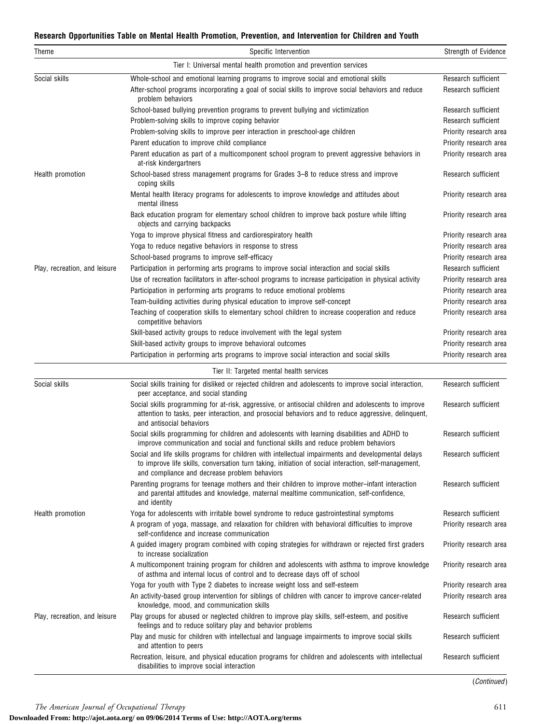#### Research Opportunities Table on Mental Health Promotion, Prevention, and Intervention for Children and Youth

| Theme                         | Specific Intervention                                                                                                                                                                                                                                        | Strength of Evidence                          |
|-------------------------------|--------------------------------------------------------------------------------------------------------------------------------------------------------------------------------------------------------------------------------------------------------------|-----------------------------------------------|
|                               | Tier I: Universal mental health promotion and prevention services                                                                                                                                                                                            |                                               |
| Social skills                 | Whole-school and emotional learning programs to improve social and emotional skills<br>After-school programs incorporating a goal of social skills to improve social behaviors and reduce<br>problem behaviors                                               | Research sufficient<br>Research sufficient    |
|                               | School-based bullying prevention programs to prevent bullying and victimization                                                                                                                                                                              | Research sufficient                           |
|                               | Problem-solving skills to improve coping behavior                                                                                                                                                                                                            | Research sufficient                           |
|                               | Problem-solving skills to improve peer interaction in preschool-age children                                                                                                                                                                                 | Priority research area                        |
|                               | Parent education to improve child compliance                                                                                                                                                                                                                 | Priority research area                        |
|                               | Parent education as part of a multicomponent school program to prevent aggressive behaviors in<br>at-risk kindergartners                                                                                                                                     | Priority research area                        |
| Health promotion              | School-based stress management programs for Grades 3–8 to reduce stress and improve<br>coping skills                                                                                                                                                         | Research sufficient                           |
|                               | Mental health literacy programs for adolescents to improve knowledge and attitudes about<br>mental illness                                                                                                                                                   | Priority research area                        |
|                               | Back education program for elementary school children to improve back posture while lifting<br>objects and carrying backpacks                                                                                                                                | Priority research area                        |
|                               | Yoga to improve physical fitness and cardiorespiratory health                                                                                                                                                                                                | Priority research area                        |
|                               | Yoga to reduce negative behaviors in response to stress                                                                                                                                                                                                      | Priority research area                        |
|                               | School-based programs to improve self-efficacy                                                                                                                                                                                                               | Priority research area                        |
| Play, recreation, and leisure | Participation in performing arts programs to improve social interaction and social skills<br>Use of recreation facilitators in after-school programs to increase participation in physical activity                                                          | Research sufficient<br>Priority research area |
|                               | Participation in performing arts programs to reduce emotional problems                                                                                                                                                                                       | Priority research area                        |
|                               | Team-building activities during physical education to improve self-concept                                                                                                                                                                                   | Priority research area                        |
|                               | Teaching of cooperation skills to elementary school children to increase cooperation and reduce<br>competitive behaviors                                                                                                                                     | Priority research area                        |
|                               | Skill-based activity groups to reduce involvement with the legal system                                                                                                                                                                                      | Priority research area                        |
|                               | Skill-based activity groups to improve behavioral outcomes                                                                                                                                                                                                   | Priority research area                        |
|                               | Participation in performing arts programs to improve social interaction and social skills                                                                                                                                                                    | Priority research area                        |
|                               | Tier II: Targeted mental health services                                                                                                                                                                                                                     |                                               |
| Social skills                 | Social skills training for disliked or rejected children and adolescents to improve social interaction,<br>peer acceptance, and social standing                                                                                                              | Research sufficient                           |
|                               | Social skills programming for at-risk, aggressive, or antisocial children and adolescents to improve<br>attention to tasks, peer interaction, and prosocial behaviors and to reduce aggressive, delinquent,<br>and antisocial behaviors                      | Research sufficient                           |
|                               | Social skills programming for children and adolescents with learning disabilities and ADHD to<br>improve communication and social and functional skills and reduce problem behaviors                                                                         | Research sufficient                           |
|                               | Social and life skills programs for children with intellectual impairments and developmental delays<br>to improve life skills, conversation turn taking, initiation of social interaction, self-management,<br>and compliance and decrease problem behaviors | Research sufficient                           |
|                               | Parenting programs for teenage mothers and their children to improve mother-infant interaction<br>and parental attitudes and knowledge, maternal mealtime communication, self-confidence,<br>and identity                                                    | Research sufficient                           |
| Health promotion              | Yoga for adolescents with irritable bowel syndrome to reduce gastrointestinal symptoms                                                                                                                                                                       | Research sufficient                           |
|                               | A program of yoga, massage, and relaxation for children with behavioral difficulties to improve<br>self-confidence and increase communication                                                                                                                | Priority research area                        |
|                               | A guided imagery program combined with coping strategies for withdrawn or rejected first graders<br>to increase socialization                                                                                                                                | Priority research area                        |
|                               | A multicomponent training program for children and adolescents with asthma to improve knowledge<br>of asthma and internal locus of control and to decrease days off of school                                                                                | Priority research area                        |
|                               | Yoga for youth with Type 2 diabetes to increase weight loss and self-esteem                                                                                                                                                                                  | Priority research area                        |
|                               | An activity-based group intervention for siblings of children with cancer to improve cancer-related<br>knowledge, mood, and communication skills                                                                                                             | Priority research area                        |
| Play, recreation, and leisure | Play groups for abused or neglected children to improve play skills, self-esteem, and positive<br>feelings and to reduce solitary play and behavior problems                                                                                                 | Research sufficient                           |
|                               | Play and music for children with intellectual and language impairments to improve social skills<br>and attention to peers                                                                                                                                    | Research sufficient                           |
|                               | Recreation, leisure, and physical education programs for children and adolescents with intellectual<br>disabilities to improve social interaction                                                                                                            | Research sufficient                           |